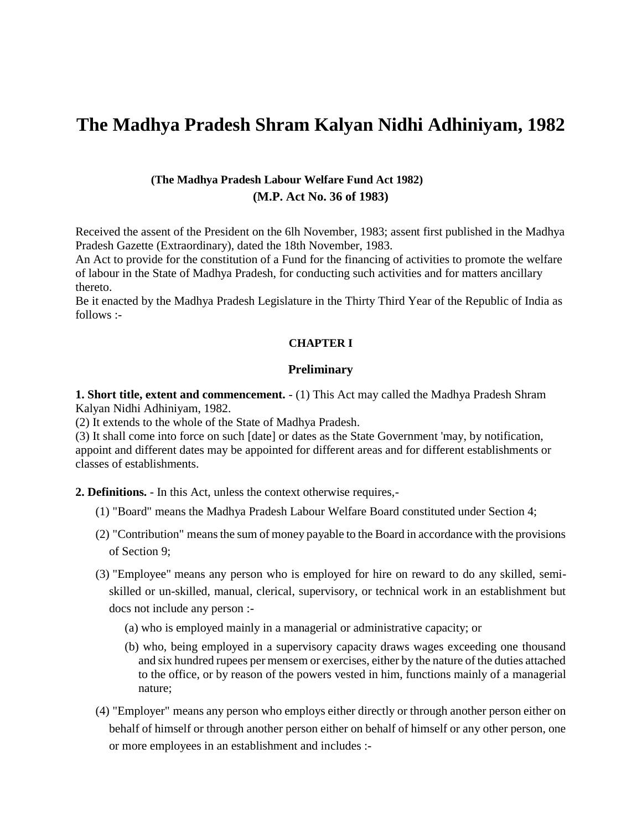# **The Madhya Pradesh Shram Kalyan Nidhi Adhiniyam, 1982**

# **(The Madhya Pradesh Labour Welfare Fund Act 1982) (M.P. Act No. 36 of 1983)**

Received the assent of the President on the 6lh November, 1983; assent first published in the Madhya Pradesh Gazette (Extraordinary), dated the 18th November, 1983.

An Act to provide for the constitution of a Fund for the financing of activities to promote the welfare of labour in the State of Madhya Pradesh, for conducting such activities and for matters ancillary thereto.

Be it enacted by the Madhya Pradesh Legislature in the Thirty Third Year of the Republic of India as follows :-

#### **CHAPTER I**

#### **Preliminary**

**1. Short title, extent and commencement.** - (1) This Act may called the Madhya Pradesh Shram Kalyan Nidhi Adhiniyam, 1982.

(2) It extends to the whole of the State of Madhya Pradesh.

(3) It shall come into force on such [date] or dates as the State Government 'may, by notification, appoint and different dates may be appointed for different areas and for different establishments or classes of establishments.

**2. Definitions.** - In this Act, unless the context otherwise requires,-

- (1) "Board" means the Madhya Pradesh Labour Welfare Board constituted under Section 4;
- (2) "Contribution" means the sum of money payable to the Board in accordance with the provisions of Section 9;
- (3) "Employee" means any person who is employed for hire on reward to do any skilled, semiskilled or un-skilled, manual, clerical, supervisory, or technical work in an establishment but docs not include any person :-
	- (a) who is employed mainly in a managerial or administrative capacity; or
	- (b) who, being employed in a supervisory capacity draws wages exceeding one thousand and six hundred rupees per mensem or exercises, either by the nature of the duties attached to the office, or by reason of the powers vested in him, functions mainly of a managerial nature;
- (4) "Employer" means any person who employs either directly or through another person either on behalf of himself or through another person either on behalf of himself or any other person, one or more employees in an establishment and includes :-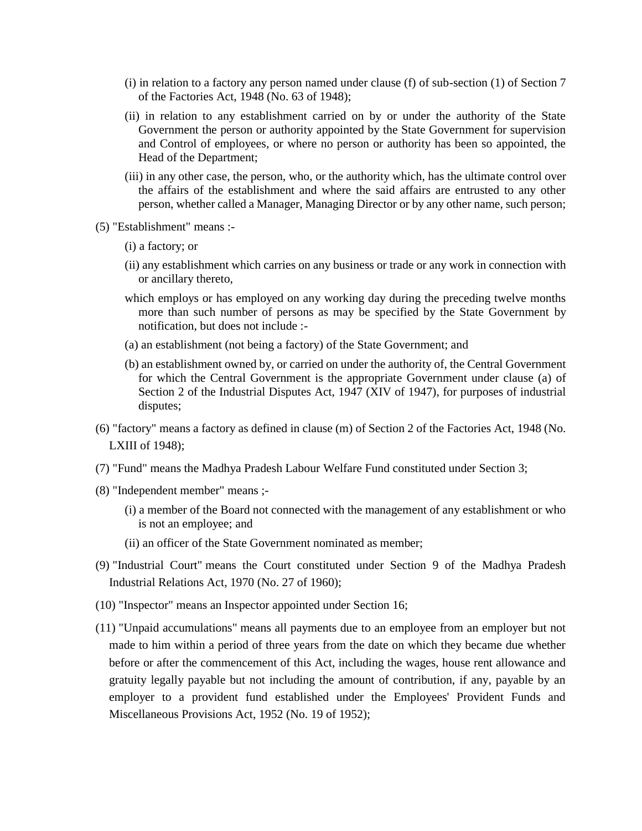- (i) in relation to a factory any person named under clause (f) of sub-section (1) of Section 7 of the Factories Act, 1948 (No. 63 of 1948);
- (ii) in relation to any establishment carried on by or under the authority of the State Government the person or authority appointed by the State Government for supervision and Control of employees, or where no person or authority has been so appointed, the Head of the Department;
- (iii) in any other case, the person, who, or the authority which, has the ultimate control over the affairs of the establishment and where the said affairs are entrusted to any other person, whether called a Manager, Managing Director or by any other name, such person;
- (5) "Establishment" means :-
	- (i) a factory; or
	- (ii) any establishment which carries on any business or trade or any work in connection with or ancillary thereto,
	- which employs or has employed on any working day during the preceding twelve months more than such number of persons as may be specified by the State Government by notification, but does not include :-
	- (a) an establishment (not being a factory) of the State Government; and
	- (b) an establishment owned by, or carried on under the authority of, the Central Government for which the Central Government is the appropriate Government under clause (a) of Section 2 of the Industrial Disputes Act, 1947 (XIV of 1947), for purposes of industrial disputes;
- (6) "factory" means a factory as defined in clause (m) of Section 2 of the Factories Act, 1948 (No. LXIII of 1948);
- (7) "Fund" means the Madhya Pradesh Labour Welfare Fund constituted under Section 3;
- (8) "Independent member" means ;-
	- (i) a member of the Board not connected with the management of any establishment or who is not an employee; and
	- (ii) an officer of the State Government nominated as member;
- (9) "Industrial Court" means the Court constituted under Section 9 of the Madhya Pradesh Industrial Relations Act, 1970 (No. 27 of 1960);
- (10) "Inspector" means an Inspector appointed under Section 16;
- (11) "Unpaid accumulations" means all payments due to an employee from an employer but not made to him within a period of three years from the date on which they became due whether before or after the commencement of this Act, including the wages, house rent allowance and gratuity legally payable but not including the amount of contribution, if any, payable by an employer to a provident fund established under the Employees' Provident Funds and Miscellaneous Provisions Act, 1952 (No. 19 of 1952);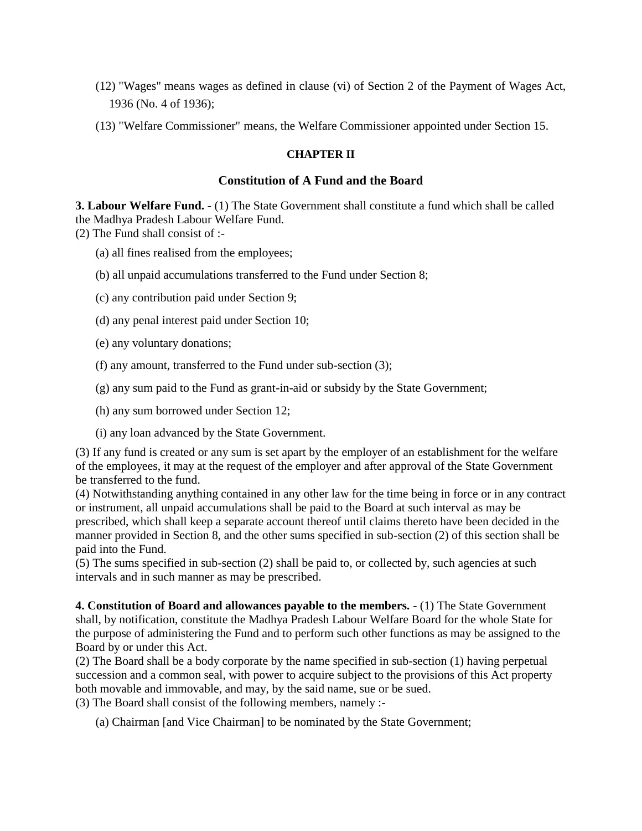- (12) "Wages" means wages as defined in clause (vi) of Section 2 of the Payment of Wages Act, 1936 (No. 4 of 1936);
- (13) "Welfare Commissioner" means, the Welfare Commissioner appointed under Section 15.

#### **CHAPTER II**

#### **Constitution of A Fund and the Board**

**3. Labour Welfare Fund.** - (1) The State Government shall constitute a fund which shall be called the Madhya Pradesh Labour Welfare Fund. (2) The Fund shall consist of :-

- (a) all fines realised from the employees;
- (b) all unpaid accumulations transferred to the Fund under Section 8;
- (c) any contribution paid under Section 9;
- (d) any penal interest paid under Section 10;
- (e) any voluntary donations;
- (f) any amount, transferred to the Fund under sub-section (3);
- (g) any sum paid to the Fund as grant-in-aid or subsidy by the State Government;
- (h) any sum borrowed under Section 12;
- (i) any loan advanced by the State Government.

(3) If any fund is created or any sum is set apart by the employer of an establishment for the welfare of the employees, it may at the request of the employer and after approval of the State Government be transferred to the fund.

(4) Notwithstanding anything contained in any other law for the time being in force or in any contract or instrument, all unpaid accumulations shall be paid to the Board at such interval as may be prescribed, which shall keep a separate account thereof until claims thereto have been decided in the manner provided in Section 8, and the other sums specified in sub-section (2) of this section shall be paid into the Fund.

(5) The sums specified in sub-section (2) shall be paid to, or collected by, such agencies at such intervals and in such manner as may be prescribed.

**4. Constitution of Board and allowances payable to the members.** - (1) The State Government shall, by notification, constitute the Madhya Pradesh Labour Welfare Board for the whole State for the purpose of administering the Fund and to perform such other functions as may be assigned to the Board by or under this Act.

(2) The Board shall be a body corporate by the name specified in sub-section (1) having perpetual succession and a common seal, with power to acquire subject to the provisions of this Act property both movable and immovable, and may, by the said name, sue or be sued.

(3) The Board shall consist of the following members, namely :-

(a) Chairman [and Vice Chairman] to be nominated by the State Government;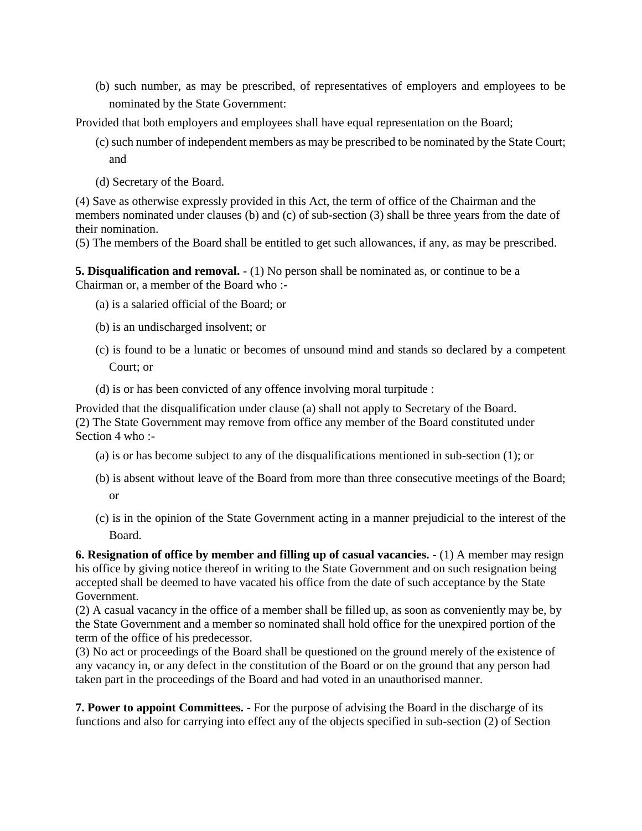(b) such number, as may be prescribed, of representatives of employers and employees to be nominated by the State Government:

Provided that both employers and employees shall have equal representation on the Board;

- (c) such number of independent members as may be prescribed to be nominated by the State Court; and
- (d) Secretary of the Board.

(4) Save as otherwise expressly provided in this Act, the term of office of the Chairman and the members nominated under clauses (b) and (c) of sub-section (3) shall be three years from the date of their nomination.

(5) The members of the Board shall be entitled to get such allowances, if any, as may be prescribed.

**5. Disqualification and removal.**  $- (1)$  No person shall be nominated as, or continue to be a Chairman or, a member of the Board who :-

- (a) is a salaried official of the Board; or
- (b) is an undischarged insolvent; or
- (c) is found to be a lunatic or becomes of unsound mind and stands so declared by a competent Court; or
- (d) is or has been convicted of any offence involving moral turpitude :

Provided that the disqualification under clause (a) shall not apply to Secretary of the Board. (2) The State Government may remove from office any member of the Board constituted under Section 4 who :-

- (a) is or has become subject to any of the disqualifications mentioned in sub-section (1); or
- (b) is absent without leave of the Board from more than three consecutive meetings of the Board; or
- (c) is in the opinion of the State Government acting in a manner prejudicial to the interest of the Board.

**6. Resignation of office by member and filling up of casual vacancies.** - (1) A member may resign his office by giving notice thereof in writing to the State Government and on such resignation being accepted shall be deemed to have vacated his office from the date of such acceptance by the State Government.

(2) A casual vacancy in the office of a member shall be filled up, as soon as conveniently may be, by the State Government and a member so nominated shall hold office for the unexpired portion of the term of the office of his predecessor.

(3) No act or proceedings of the Board shall be questioned on the ground merely of the existence of any vacancy in, or any defect in the constitution of the Board or on the ground that any person had taken part in the proceedings of the Board and had voted in an unauthorised manner.

**7. Power to appoint Committees.** - For the purpose of advising the Board in the discharge of its functions and also for carrying into effect any of the objects specified in sub-section (2) of Section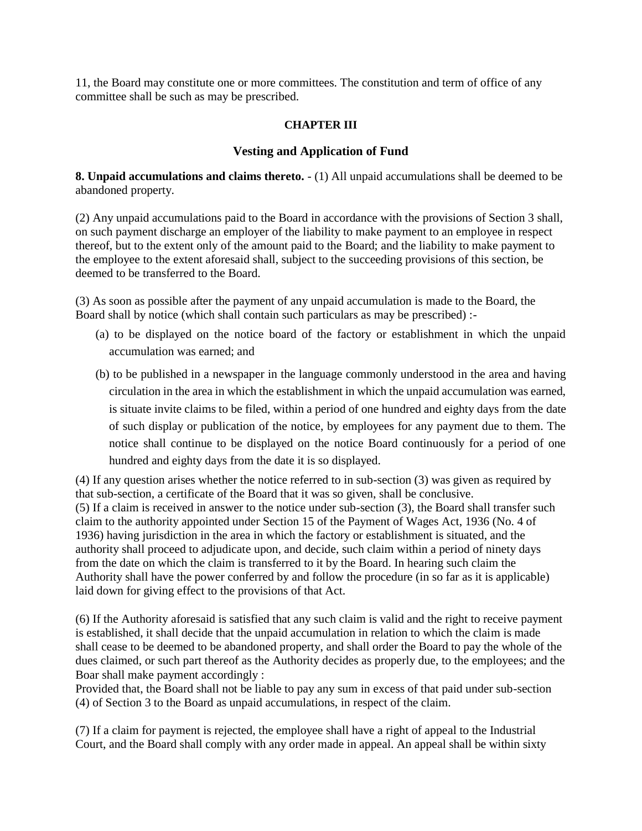11, the Board may constitute one or more committees. The constitution and term of office of any committee shall be such as may be prescribed.

## **CHAPTER III**

# **Vesting and Application of Fund**

**8. Unpaid accumulations and claims thereto.** - (1) All unpaid accumulations shall be deemed to be abandoned property.

(2) Any unpaid accumulations paid to the Board in accordance with the provisions of Section 3 shall, on such payment discharge an employer of the liability to make payment to an employee in respect thereof, but to the extent only of the amount paid to the Board; and the liability to make payment to the employee to the extent aforesaid shall, subject to the succeeding provisions of this section, be deemed to be transferred to the Board.

(3) As soon as possible after the payment of any unpaid accumulation is made to the Board, the Board shall by notice (which shall contain such particulars as may be prescribed) :-

- (a) to be displayed on the notice board of the factory or establishment in which the unpaid accumulation was earned; and
- (b) to be published in a newspaper in the language commonly understood in the area and having circulation in the area in which the establishment in which the unpaid accumulation was earned, is situate invite claims to be filed, within a period of one hundred and eighty days from the date of such display or publication of the notice, by employees for any payment due to them. The notice shall continue to be displayed on the notice Board continuously for a period of one hundred and eighty days from the date it is so displayed.

(4) If any question arises whether the notice referred to in sub-section (3) was given as required by that sub-section, a certificate of the Board that it was so given, shall be conclusive. (5) If a claim is received in answer to the notice under sub-section (3), the Board shall transfer such claim to the authority appointed under Section 15 of the Payment of Wages Act, 1936 (No. 4 of 1936) having jurisdiction in the area in which the factory or establishment is situated, and the authority shall proceed to adjudicate upon, and decide, such claim within a period of ninety days from the date on which the claim is transferred to it by the Board. In hearing such claim the Authority shall have the power conferred by and follow the procedure (in so far as it is applicable) laid down for giving effect to the provisions of that Act.

(6) If the Authority aforesaid is satisfied that any such claim is valid and the right to receive payment is established, it shall decide that the unpaid accumulation in relation to which the claim is made shall cease to be deemed to be abandoned property, and shall order the Board to pay the whole of the dues claimed, or such part thereof as the Authority decides as properly due, to the employees; and the Boar shall make payment accordingly :

Provided that, the Board shall not be liable to pay any sum in excess of that paid under sub-section (4) of Section 3 to the Board as unpaid accumulations, in respect of the claim.

(7) If a claim for payment is rejected, the employee shall have a right of appeal to the Industrial Court, and the Board shall comply with any order made in appeal. An appeal shall be within sixty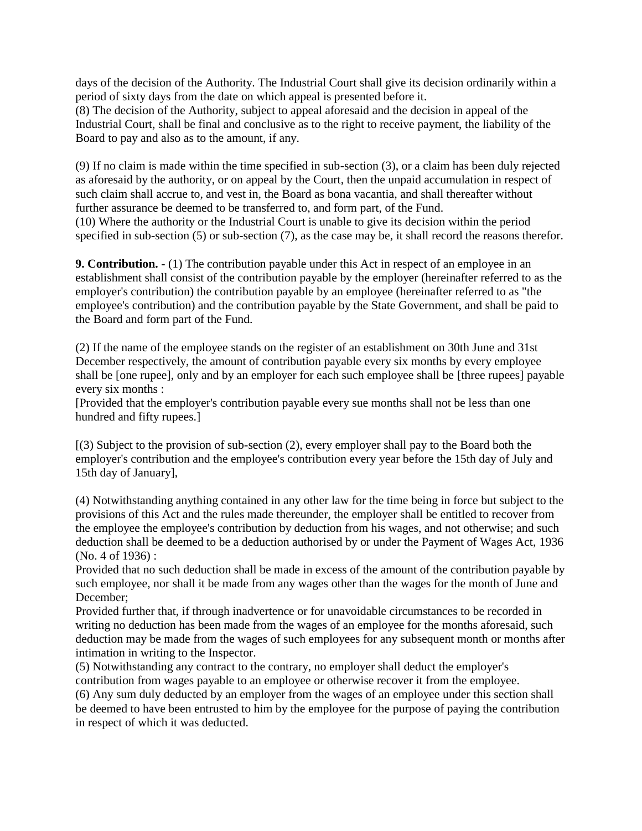days of the decision of the Authority. The Industrial Court shall give its decision ordinarily within a period of sixty days from the date on which appeal is presented before it.

(8) The decision of the Authority, subject to appeal aforesaid and the decision in appeal of the Industrial Court, shall be final and conclusive as to the right to receive payment, the liability of the Board to pay and also as to the amount, if any.

(9) If no claim is made within the time specified in sub-section (3), or a claim has been duly rejected as aforesaid by the authority, or on appeal by the Court, then the unpaid accumulation in respect of such claim shall accrue to, and vest in, the Board as bona vacantia, and shall thereafter without further assurance be deemed to be transferred to, and form part, of the Fund. (10) Where the authority or the Industrial Court is unable to give its decision within the period specified in sub-section (5) or sub-section (7), as the case may be, it shall record the reasons therefor.

**9. Contribution.** - (1) The contribution payable under this Act in respect of an employee in an establishment shall consist of the contribution payable by the employer (hereinafter referred to as the employer's contribution) the contribution payable by an employee (hereinafter referred to as "the employee's contribution) and the contribution payable by the State Government, and shall be paid to the Board and form part of the Fund.

(2) If the name of the employee stands on the register of an establishment on 30th June and 31st December respectively, the amount of contribution payable every six months by every employee shall be [one rupee], only and by an employer for each such employee shall be [three rupees] payable every six months :

[Provided that the employer's contribution payable every sue months shall not be less than one hundred and fifty rupees.]

[(3) Subject to the provision of sub-section (2), every employer shall pay to the Board both the employer's contribution and the employee's contribution every year before the 15th day of July and 15th day of January],

(4) Notwithstanding anything contained in any other law for the time being in force but subject to the provisions of this Act and the rules made thereunder, the employer shall be entitled to recover from the employee the employee's contribution by deduction from his wages, and not otherwise; and such deduction shall be deemed to be a deduction authorised by or under the Payment of Wages Act, 1936 (No. 4 of 1936) :

Provided that no such deduction shall be made in excess of the amount of the contribution payable by such employee, nor shall it be made from any wages other than the wages for the month of June and December;

Provided further that, if through inadvertence or for unavoidable circumstances to be recorded in writing no deduction has been made from the wages of an employee for the months aforesaid, such deduction may be made from the wages of such employees for any subsequent month or months after intimation in writing to the Inspector.

(5) Notwithstanding any contract to the contrary, no employer shall deduct the employer's contribution from wages payable to an employee or otherwise recover it from the employee.

(6) Any sum duly deducted by an employer from the wages of an employee under this section shall be deemed to have been entrusted to him by the employee for the purpose of paying the contribution in respect of which it was deducted.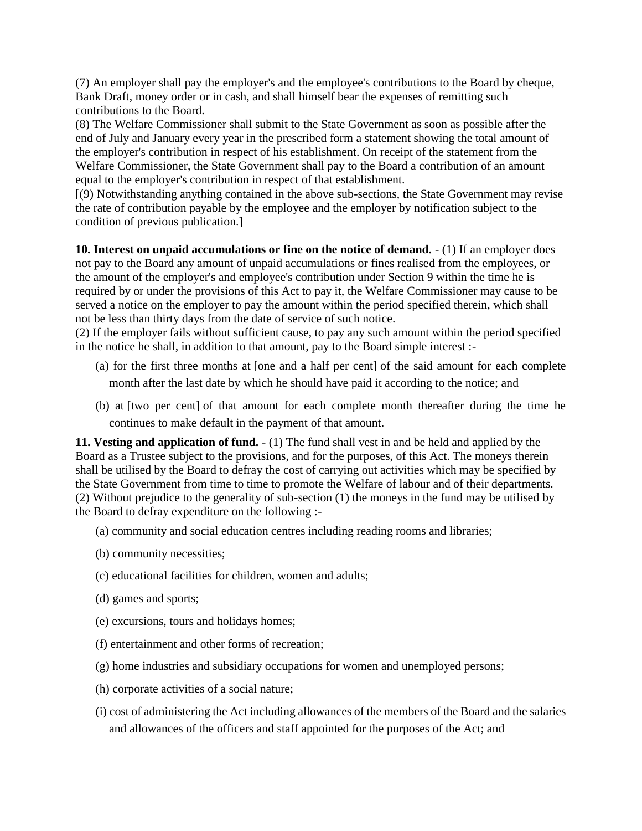(7) An employer shall pay the employer's and the employee's contributions to the Board by cheque, Bank Draft, money order or in cash, and shall himself bear the expenses of remitting such contributions to the Board.

(8) The Welfare Commissioner shall submit to the State Government as soon as possible after the end of July and January every year in the prescribed form a statement showing the total amount of the employer's contribution in respect of his establishment. On receipt of the statement from the Welfare Commissioner, the State Government shall pay to the Board a contribution of an amount equal to the employer's contribution in respect of that establishment.

[(9) Notwithstanding anything contained in the above sub-sections, the State Government may revise the rate of contribution payable by the employee and the employer by notification subject to the condition of previous publication.]

**10. Interest on unpaid accumulations or fine on the notice of demand.** - (1) If an employer does not pay to the Board any amount of unpaid accumulations or fines realised from the employees, or the amount of the employer's and employee's contribution under Section 9 within the time he is required by or under the provisions of this Act to pay it, the Welfare Commissioner may cause to be served a notice on the employer to pay the amount within the period specified therein, which shall not be less than thirty days from the date of service of such notice.

(2) If the employer fails without sufficient cause, to pay any such amount within the period specified in the notice he shall, in addition to that amount, pay to the Board simple interest :-

- (a) for the first three months at [one and a half per cent] of the said amount for each complete month after the last date by which he should have paid it according to the notice; and
- (b) at [two per cent] of that amount for each complete month thereafter during the time he continues to make default in the payment of that amount.

**11. Vesting and application of fund.** - (1) The fund shall vest in and be held and applied by the Board as a Trustee subject to the provisions, and for the purposes, of this Act. The moneys therein shall be utilised by the Board to defray the cost of carrying out activities which may be specified by the State Government from time to time to promote the Welfare of labour and of their departments. (2) Without prejudice to the generality of sub-section (1) the moneys in the fund may be utilised by the Board to defray expenditure on the following :-

- (a) community and social education centres including reading rooms and libraries;
- (b) community necessities;
- (c) educational facilities for children, women and adults;
- (d) games and sports;
- (e) excursions, tours and holidays homes;
- (f) entertainment and other forms of recreation;
- (g) home industries and subsidiary occupations for women and unemployed persons;
- (h) corporate activities of a social nature;
- (i) cost of administering the Act including allowances of the members of the Board and the salaries and allowances of the officers and staff appointed for the purposes of the Act; and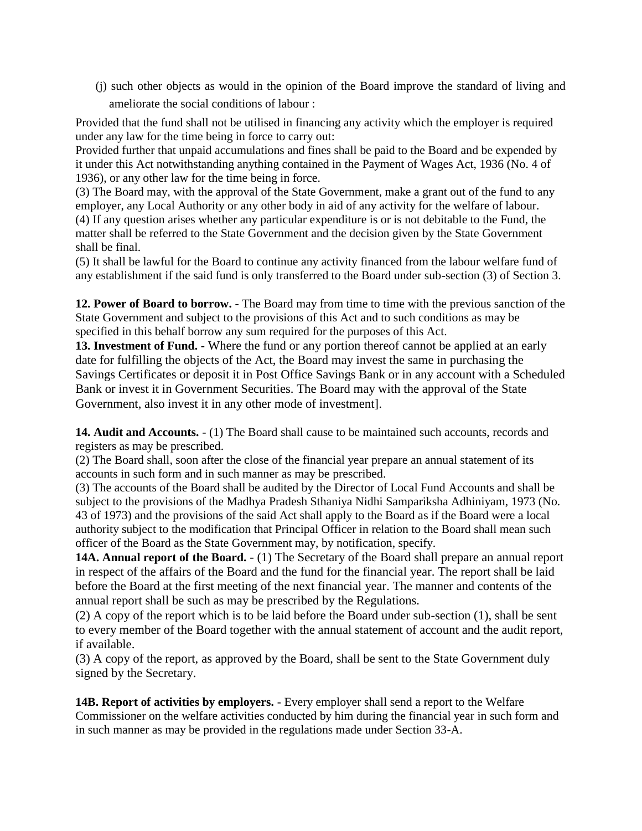(j) such other objects as would in the opinion of the Board improve the standard of living and ameliorate the social conditions of labour :

Provided that the fund shall not be utilised in financing any activity which the employer is required under any law for the time being in force to carry out:

Provided further that unpaid accumulations and fines shall be paid to the Board and be expended by it under this Act notwithstanding anything contained in the Payment of Wages Act, 1936 (No. 4 of 1936), or any other law for the time being in force.

(3) The Board may, with the approval of the State Government, make a grant out of the fund to any employer, any Local Authority or any other body in aid of any activity for the welfare of labour. (4) If any question arises whether any particular expenditure is or is not debitable to the Fund, the matter shall be referred to the State Government and the decision given by the State Government shall be final.

(5) It shall be lawful for the Board to continue any activity financed from the labour welfare fund of any establishment if the said fund is only transferred to the Board under sub-section (3) of Section 3.

**12. Power of Board to borrow.** - The Board may from time to time with the previous sanction of the State Government and subject to the provisions of this Act and to such conditions as may be specified in this behalf borrow any sum required for the purposes of this Act.

**13. Investment of Fund. -** Where the fund or any portion thereof cannot be applied at an early date for fulfilling the objects of the Act, the Board may invest the same in purchasing the Savings Certificates or deposit it in Post Office Savings Bank or in any account with a Scheduled Bank or invest it in Government Securities. The Board may with the approval of the State Government, also invest it in any other mode of investment].

**14. Audit and Accounts.** - (1) The Board shall cause to be maintained such accounts, records and registers as may be prescribed.

(2) The Board shall, soon after the close of the financial year prepare an annual statement of its accounts in such form and in such manner as may be prescribed.

(3) The accounts of the Board shall be audited by the Director of Local Fund Accounts and shall be subject to the provisions of the Madhya Pradesh Sthaniya Nidhi Sampariksha Adhiniyam, 1973 (No. 43 of 1973) and the provisions of the said Act shall apply to the Board as if the Board were a local authority subject to the modification that Principal Officer in relation to the Board shall mean such officer of the Board as the State Government may, by notification, specify.

**14A. Annual report of the Board.** - (1) The Secretary of the Board shall prepare an annual report in respect of the affairs of the Board and the fund for the financial year. The report shall be laid before the Board at the first meeting of the next financial year. The manner and contents of the annual report shall be such as may be prescribed by the Regulations.

(2) A copy of the report which is to be laid before the Board under sub-section (1), shall be sent to every member of the Board together with the annual statement of account and the audit report, if available.

(3) A copy of the report, as approved by the Board, shall be sent to the State Government duly signed by the Secretary.

**14B. Report of activities by employers.** - Every employer shall send a report to the Welfare Commissioner on the welfare activities conducted by him during the financial year in such form and in such manner as may be provided in the regulations made under Section 33-A.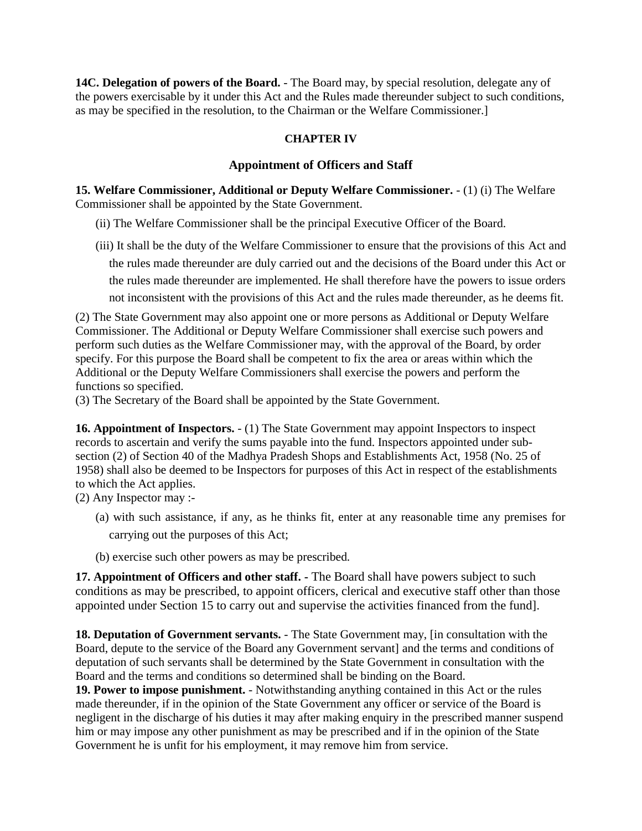**14C. Delegation of powers of the Board.** - The Board may, by special resolution, delegate any of the powers exercisable by it under this Act and the Rules made thereunder subject to such conditions, as may be specified in the resolution, to the Chairman or the Welfare Commissioner.]

## **CHAPTER IV**

#### **Appointment of Officers and Staff**

**15. Welfare Commissioner, Additional or Deputy Welfare Commissioner.** - (1) (i) The Welfare Commissioner shall be appointed by the State Government.

- (ii) The Welfare Commissioner shall be the principal Executive Officer of the Board.
- (iii) It shall be the duty of the Welfare Commissioner to ensure that the provisions of this Act and the rules made thereunder are duly carried out and the decisions of the Board under this Act or the rules made thereunder are implemented. He shall therefore have the powers to issue orders not inconsistent with the provisions of this Act and the rules made thereunder, as he deems fit.

(2) The State Government may also appoint one or more persons as Additional or Deputy Welfare Commissioner. The Additional or Deputy Welfare Commissioner shall exercise such powers and perform such duties as the Welfare Commissioner may, with the approval of the Board, by order specify. For this purpose the Board shall be competent to fix the area or areas within which the Additional or the Deputy Welfare Commissioners shall exercise the powers and perform the functions so specified.

(3) The Secretary of the Board shall be appointed by the State Government.

**16. Appointment of Inspectors.**  $- (1)$  The State Government may appoint Inspectors to inspect records to ascertain and verify the sums payable into the fund. Inspectors appointed under subsection (2) of Section 40 of the Madhya Pradesh Shops and Establishments Act, 1958 (No. 25 of 1958) shall also be deemed to be Inspectors for purposes of this Act in respect of the establishments to which the Act applies.

(2) Any Inspector may :-

- (a) with such assistance, if any, as he thinks fit, enter at any reasonable time any premises for carrying out the purposes of this Act;
- (b) exercise such other powers as may be prescribed.

**17. Appointment of Officers and other staff. -** The Board shall have powers subject to such conditions as may be prescribed, to appoint officers, clerical and executive staff other than those appointed under Section 15 to carry out and supervise the activities financed from the fund].

**18. Deputation of Government servants.** - The State Government may, [in consultation with the Board, depute to the service of the Board any Government servant] and the terms and conditions of deputation of such servants shall be determined by the State Government in consultation with the Board and the terms and conditions so determined shall be binding on the Board.

**19. Power to impose punishment.** - Notwithstanding anything contained in this Act or the rules made thereunder, if in the opinion of the State Government any officer or service of the Board is negligent in the discharge of his duties it may after making enquiry in the prescribed manner suspend him or may impose any other punishment as may be prescribed and if in the opinion of the State Government he is unfit for his employment, it may remove him from service.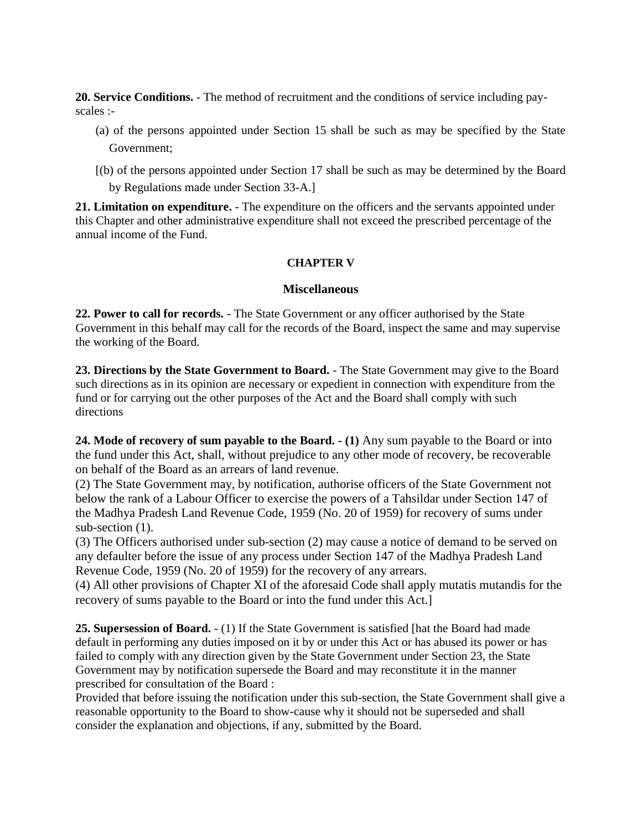**20. Service Conditions.** - The method of recruitment and the conditions of service including payscales :-

- (a) of the persons appointed under Section 15 shall be such as may be specified by the State Government;
- [(b) of the persons appointed under Section 17 shall be such as may be determined by the Board by Regulations made under Section 33-A.]

**21. Limitation on expenditure.** - The expenditure on the officers and the servants appointed under this Chapter and other administrative expenditure shall not exceed the prescribed percentage of the annual income of the Fund.

## **CHAPTER V**

### **Miscellaneous**

**22. Power to call for records.** - The State Government or any officer authorised by the State Government in this behalf may call for the records of the Board, inspect the same and may supervise the working of the Board.

**23. Directions by the State Government to Board.** - The State Government may give to the Board such directions as in its opinion are necessary or expedient in connection with expenditure from the fund or for carrying out the other purposes of the Act and the Board shall comply with such directions

**24. Mode of recovery of sum payable to the Board. - (1)** Any sum payable to the Board or into the fund under this Act, shall, without prejudice to any other mode of recovery, be recoverable on behalf of the Board as an arrears of land revenue.

(2) The State Government may, by notification, authorise officers of the State Government not below the rank of a Labour Officer to exercise the powers of a Tahsildar under Section 147 of the Madhya Pradesh Land Revenue Code, 1959 (No. 20 of 1959) for recovery of sums under sub-section  $(1)$ .

(3) The Officers authorised under sub-section (2) may cause a notice of demand to be served on any defaulter before the issue of any process under Section 147 of the Madhya Pradesh Land Revenue Code, 1959 (No. 20 of 1959) for the recovery of any arrears.

(4) All other provisions of Chapter XI of the aforesaid Code shall apply mutatis mutandis for the recovery of sums payable to the Board or into the fund under this Act.]

**25. Supersession of Board.** - (1) If the State Government is satisfied [hat the Board had made default in performing any duties imposed on it by or under this Act or has abused its power or has failed to comply with any direction given by the State Government under Section 23, the State Government may by notification supersede the Board and may reconstitute it in the manner prescribed for consultation of the Board :

Provided that before issuing the notification under this sub-section, the State Government shall give a reasonable opportunity to the Board to show-cause why it should not be superseded and shall consider the explanation and objections, if any, submitted by the Board.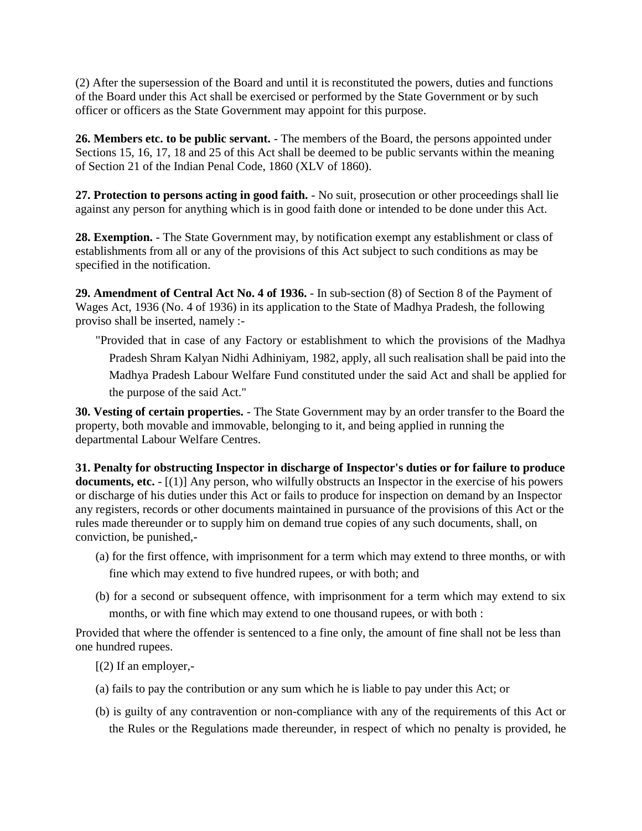(2) After the supersession of the Board and until it is reconstituted the powers, duties and functions of the Board under this Act shall be exercised or performed by the State Government or by such officer or officers as the State Government may appoint for this purpose.

**26. Members etc. to be public servant.** - The members of the Board, the persons appointed under Sections 15, 16, 17, 18 and 25 of this Act shall be deemed to be public servants within the meaning of Section 21 of the Indian Penal Code, 1860 (XLV of 1860).

**27. Protection to persons acting in good faith.** - No suit, prosecution or other proceedings shall lie against any person for anything which is in good faith done or intended to be done under this Act.

**28. Exemption.** - The State Government may, by notification exempt any establishment or class of establishments from all or any of the provisions of this Act subject to such conditions as may be specified in the notification.

**29. Amendment of Central Act No. 4 of 1936.** - In sub-section (8) of Section 8 of the Payment of Wages Act, 1936 (No. 4 of 1936) in its application to the State of Madhya Pradesh, the following proviso shall be inserted, namely :-

"Provided that in case of any Factory or establishment to which the provisions of the Madhya Pradesh Shram Kalyan Nidhi Adhiniyam, 1982, apply, all such realisation shall be paid into the Madhya Pradesh Labour Welfare Fund constituted under the said Act and shall be applied for the purpose of the said Act."

**30. Vesting of certain properties.** - The State Government may by an order transfer to the Board the property, both movable and immovable, belonging to it, and being applied in running the departmental Labour Welfare Centres.

**31. Penalty for obstructing Inspector in discharge of Inspector's duties or for failure to produce documents, etc.** - [(1)] Any person, who wilfully obstructs an Inspector in the exercise of his powers or discharge of his duties under this Act or fails to produce for inspection on demand by an Inspector any registers, records or other documents maintained in pursuance of the provisions of this Act or the rules made thereunder or to supply him on demand true copies of any such documents, shall, on conviction, be punished,-

- (a) for the first offence, with imprisonment for a term which may extend to three months, or with fine which may extend to five hundred rupees, or with both; and
- (b) for a second or subsequent offence, with imprisonment for a term which may extend to six months, or with fine which may extend to one thousand rupees, or with both :

Provided that where the offender is sentenced to a fine only, the amount of fine shall not be less than one hundred rupees.

 $[$ (2) If an employer,-

- (a) fails to pay the contribution or any sum which he is liable to pay under this Act; or
- (b) is guilty of any contravention or non-compliance with any of the requirements of this Act or the Rules or the Regulations made thereunder, in respect of which no penalty is provided, he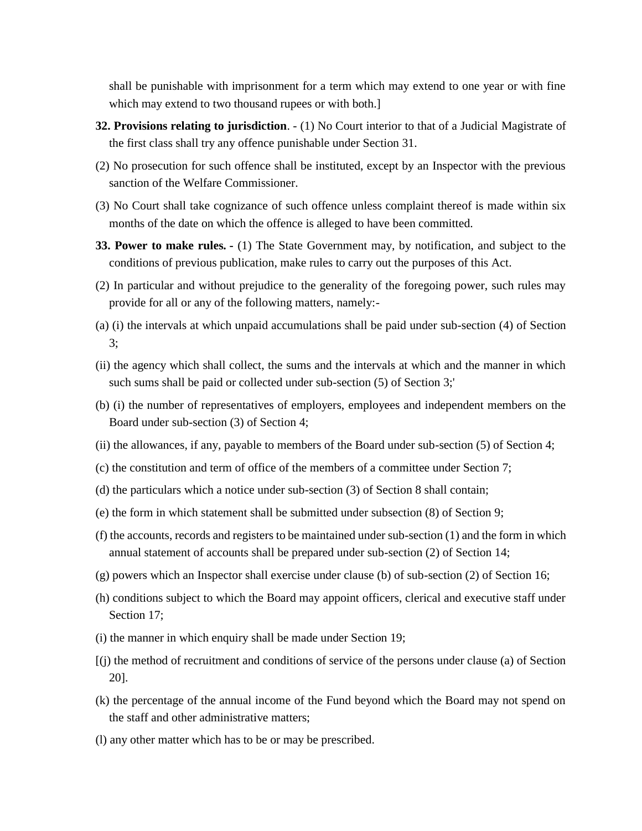shall be punishable with imprisonment for a term which may extend to one year or with fine which may extend to two thousand rupees or with both.]

- **32. Provisions relating to jurisdiction**. (1) No Court interior to that of a Judicial Magistrate of the first class shall try any offence punishable under Section 31.
- (2) No prosecution for such offence shall be instituted, except by an Inspector with the previous sanction of the Welfare Commissioner.
- (3) No Court shall take cognizance of such offence unless complaint thereof is made within six months of the date on which the offence is alleged to have been committed.
- **33. Power to make rules. -** (1) The State Government may, by notification, and subject to the conditions of previous publication, make rules to carry out the purposes of this Act.
- (2) In particular and without prejudice to the generality of the foregoing power, such rules may provide for all or any of the following matters, namely:-
- (a) (i) the intervals at which unpaid accumulations shall be paid under sub-section (4) of Section 3;
- (ii) the agency which shall collect, the sums and the intervals at which and the manner in which such sums shall be paid or collected under sub-section (5) of Section 3;'
- (b) (i) the number of representatives of employers, employees and independent members on the Board under sub-section (3) of Section 4;
- (ii) the allowances, if any, payable to members of the Board under sub-section (5) of Section 4;
- (c) the constitution and term of office of the members of a committee under Section 7;
- (d) the particulars which a notice under sub-section (3) of Section 8 shall contain;
- (e) the form in which statement shall be submitted under subsection (8) of Section 9;
- (f) the accounts, records and registers to be maintained under sub-section (1) and the form in which annual statement of accounts shall be prepared under sub-section (2) of Section 14;
- (g) powers which an Inspector shall exercise under clause (b) of sub-section (2) of Section 16;
- (h) conditions subject to which the Board may appoint officers, clerical and executive staff under Section 17;
- (i) the manner in which enquiry shall be made under Section 19;
- [(j) the method of recruitment and conditions of service of the persons under clause (a) of Section 20].
- (k) the percentage of the annual income of the Fund beyond which the Board may not spend on the staff and other administrative matters;
- (l) any other matter which has to be or may be prescribed.